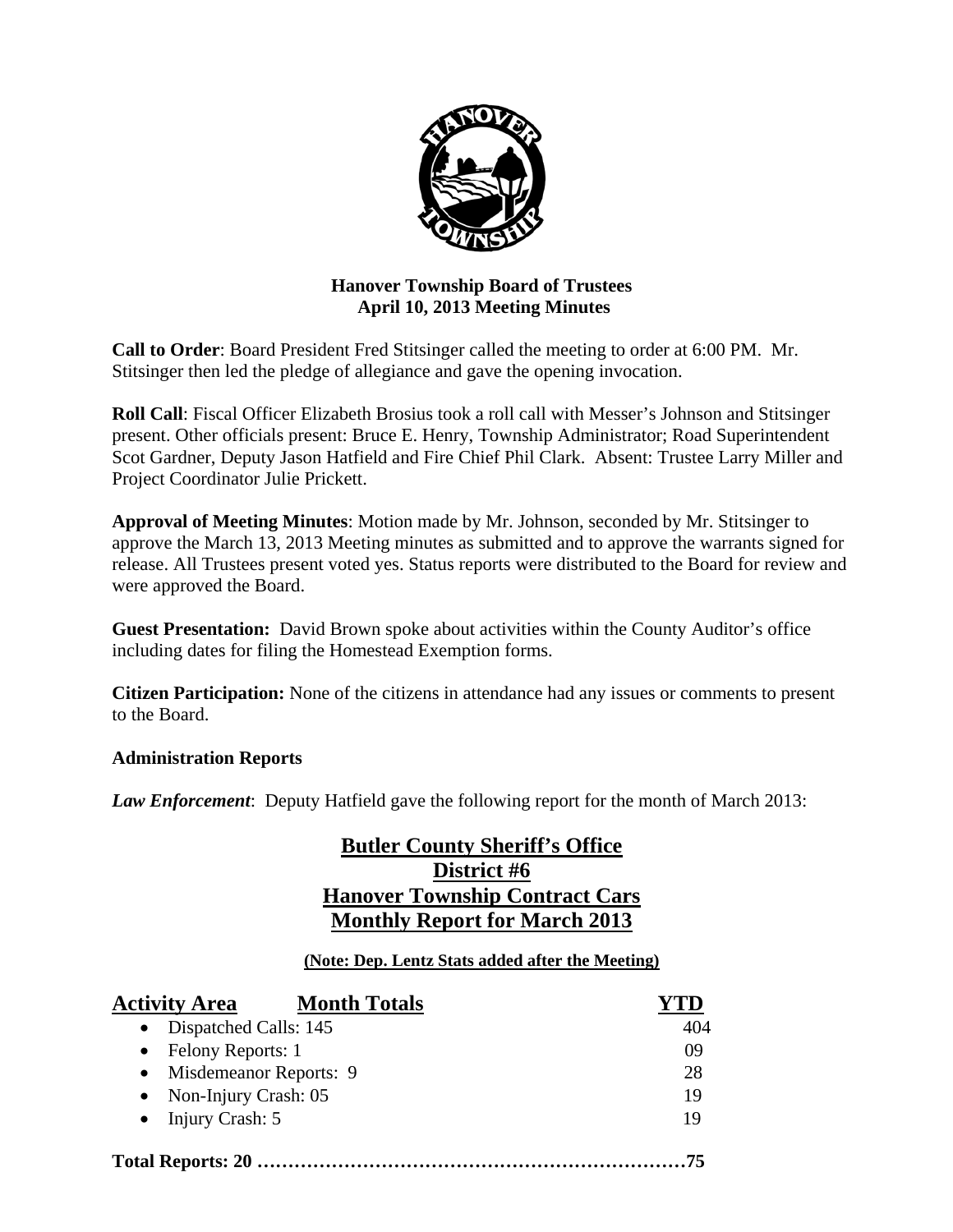

# **Hanover Township Board of Trustees April 10, 2013 Meeting Minutes**

**Call to Order**: Board President Fred Stitsinger called the meeting to order at 6:00 PM. Mr. Stitsinger then led the pledge of allegiance and gave the opening invocation.

**Roll Call**: Fiscal Officer Elizabeth Brosius took a roll call with Messer's Johnson and Stitsinger present. Other officials present: Bruce E. Henry, Township Administrator; Road Superintendent Scot Gardner, Deputy Jason Hatfield and Fire Chief Phil Clark. Absent: Trustee Larry Miller and Project Coordinator Julie Prickett.

**Approval of Meeting Minutes**: Motion made by Mr. Johnson, seconded by Mr. Stitsinger to approve the March 13, 2013 Meeting minutes as submitted and to approve the warrants signed for release. All Trustees present voted yes. Status reports were distributed to the Board for review and were approved the Board.

**Guest Presentation:** David Brown spoke about activities within the County Auditor's office including dates for filing the Homestead Exemption forms.

**Citizen Participation:** None of the citizens in attendance had any issues or comments to present to the Board.

# **Administration Reports**

*Law Enforcement*: Deputy Hatfield gave the following report for the month of March 2013:

# **Butler County Sheriff's Office District #6 Hanover Township Contract Cars Monthly Report for March 2013**

# **(Note: Dep. Lentz Stats added after the Meeting)**

| <b>Activity Area</b>                | <b>Month Totals</b> |     |
|-------------------------------------|---------------------|-----|
| Dispatched Calls: 145<br>$\bullet$  |                     | 404 |
| Felony Reports: 1                   |                     | 09  |
| Misdemeanor Reports: 9<br>$\bullet$ |                     | 28  |
| Non-Injury Crash: 05<br>$\bullet$   |                     | 19  |
| $\bullet$ Injury Crash: 5           |                     | 19  |
|                                     |                     |     |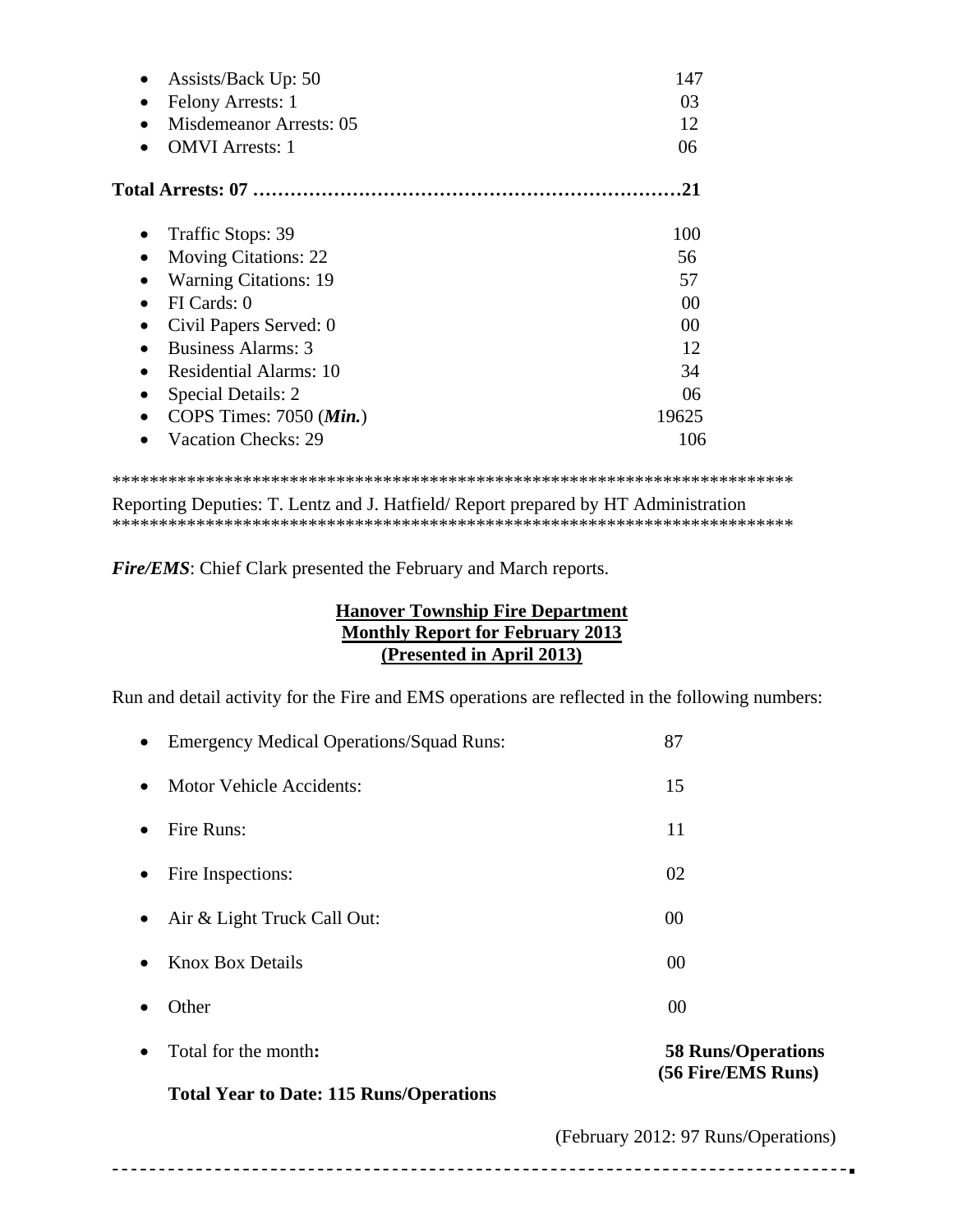| Assists/Back Up: 50                         | 147   |
|---------------------------------------------|-------|
| Felony Arrests: 1<br>$\bullet$              | 03    |
| <b>Misdemeanor Arrests: 05</b><br>$\bullet$ | 12    |
| <b>OMVI</b> Arrests: 1                      | 06    |
|                                             | 21    |
| Traffic Stops: 39                           | 100   |
| <b>Moving Citations: 22</b><br>٠            | 56    |
| <b>Warning Citations: 19</b>                | 57    |
| FI Cards: 0<br>$\bullet$                    | 00    |
| Civil Papers Served: 0                      | 00    |
| <b>Business Alarms: 3</b>                   | 12    |
| <b>Residential Alarms: 10</b><br>$\bullet$  | 34    |
| Special Details: 2<br>$\bullet$             | 06    |
| COPS Times: $7050$ ( <i>Min.</i> )          | 19625 |
| <b>Vacation Checks: 29</b>                  | 106   |
|                                             |       |

Reporting Deputies: T. Lentz and J. Hatfield/ Report prepared by HT Administration \*\*\*\*\*\*\*\*\*\*\*\*\*\*\*\*\*\*\*\*\*\*\*\*\*\*\*\*\*\*\*\*\*\*\*\*\*\*\*\*\*\*\*\*\*\*\*\*\*\*\*\*\*\*\*\*\*\*\*\*\*\*\*\*\*\*\*\*\*\*\*\*\*

*Fire/EMS*: Chief Clark presented the February and March reports.

# **Hanover Township Fire Department Monthly Report for February 2013 (Presented in April 2013)**

Run and detail activity for the Fire and EMS operations are reflected in the following numbers:

|           | <b>Total Year to Date: 115 Runs/Operations</b>  |                                                 |
|-----------|-------------------------------------------------|-------------------------------------------------|
|           | Total for the month:                            | <b>58 Runs/Operations</b><br>(56 Fire/EMS Runs) |
|           | Other                                           | 00                                              |
|           | <b>Knox Box Details</b>                         | 00                                              |
|           | Air & Light Truck Call Out:                     | 00                                              |
| $\bullet$ | Fire Inspections:                               | 02                                              |
|           | Fire Runs:                                      | 11                                              |
|           | <b>Motor Vehicle Accidents:</b>                 | 15                                              |
| $\bullet$ | <b>Emergency Medical Operations/Squad Runs:</b> | 87                                              |

(February 2012: 97 Runs/Operations)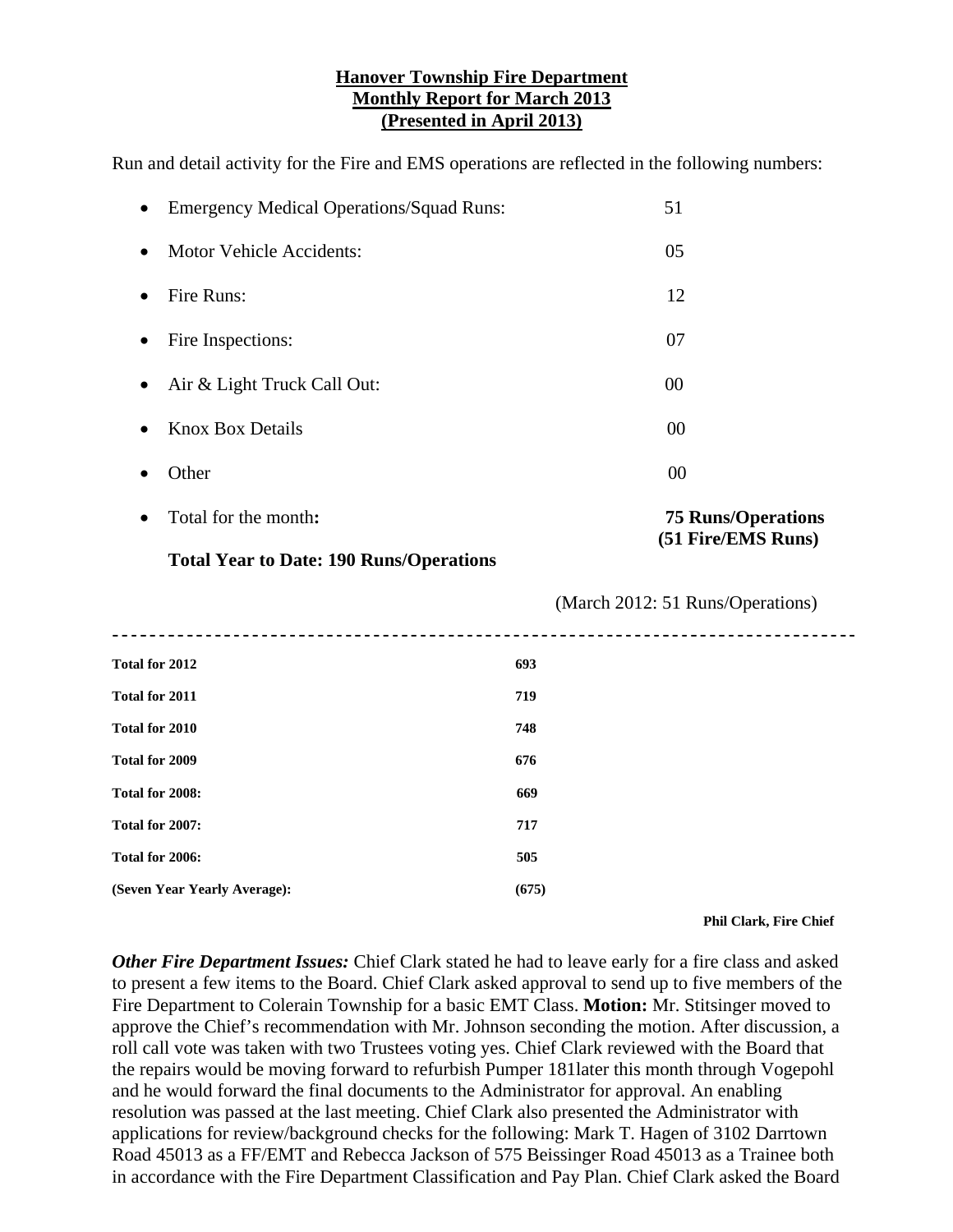#### **Hanover Township Fire Department Monthly Report for March 2013 (Presented in April 2013)**

Run and detail activity for the Fire and EMS operations are reflected in the following numbers:

| $\bullet$ | Total for the month:                            | <b>75 Runs/Operations</b><br>(51 Fire/EMS Runs) |
|-----------|-------------------------------------------------|-------------------------------------------------|
|           | Other                                           | 00                                              |
|           | <b>Knox Box Details</b>                         | 00                                              |
| $\bullet$ | Air & Light Truck Call Out:                     | 00                                              |
| $\bullet$ | Fire Inspections:                               | 07                                              |
| $\bullet$ | Fire Runs:                                      | 12                                              |
| $\bullet$ | <b>Motor Vehicle Accidents:</b>                 | 05                                              |
| $\bullet$ | <b>Emergency Medical Operations/Squad Runs:</b> | 51                                              |

#### **Total Year to Date: 190 Runs/Operations**

| Total for 2012               | 693   |
|------------------------------|-------|
| Total for 2011               | 719   |
| Total for 2010               | 748   |
| Total for 2009               | 676   |
| Total for 2008:              | 669   |
| Total for 2007:              | 717   |
| Total for 2006:              | 505   |
| (Seven Year Yearly Average): | (675) |
|                              |       |

 **Phil Clark, Fire Chief** 

(March 2012: 51 Runs/Operations)

*Other Fire Department Issues:* Chief Clark stated he had to leave early for a fire class and asked to present a few items to the Board. Chief Clark asked approval to send up to five members of the Fire Department to Colerain Township for a basic EMT Class. **Motion:** Mr. Stitsinger moved to approve the Chief's recommendation with Mr. Johnson seconding the motion. After discussion, a roll call vote was taken with two Trustees voting yes. Chief Clark reviewed with the Board that the repairs would be moving forward to refurbish Pumper 181later this month through Vogepohl and he would forward the final documents to the Administrator for approval. An enabling resolution was passed at the last meeting. Chief Clark also presented the Administrator with applications for review/background checks for the following: Mark T. Hagen of 3102 Darrtown Road 45013 as a FF/EMT and Rebecca Jackson of 575 Beissinger Road 45013 as a Trainee both in accordance with the Fire Department Classification and Pay Plan. Chief Clark asked the Board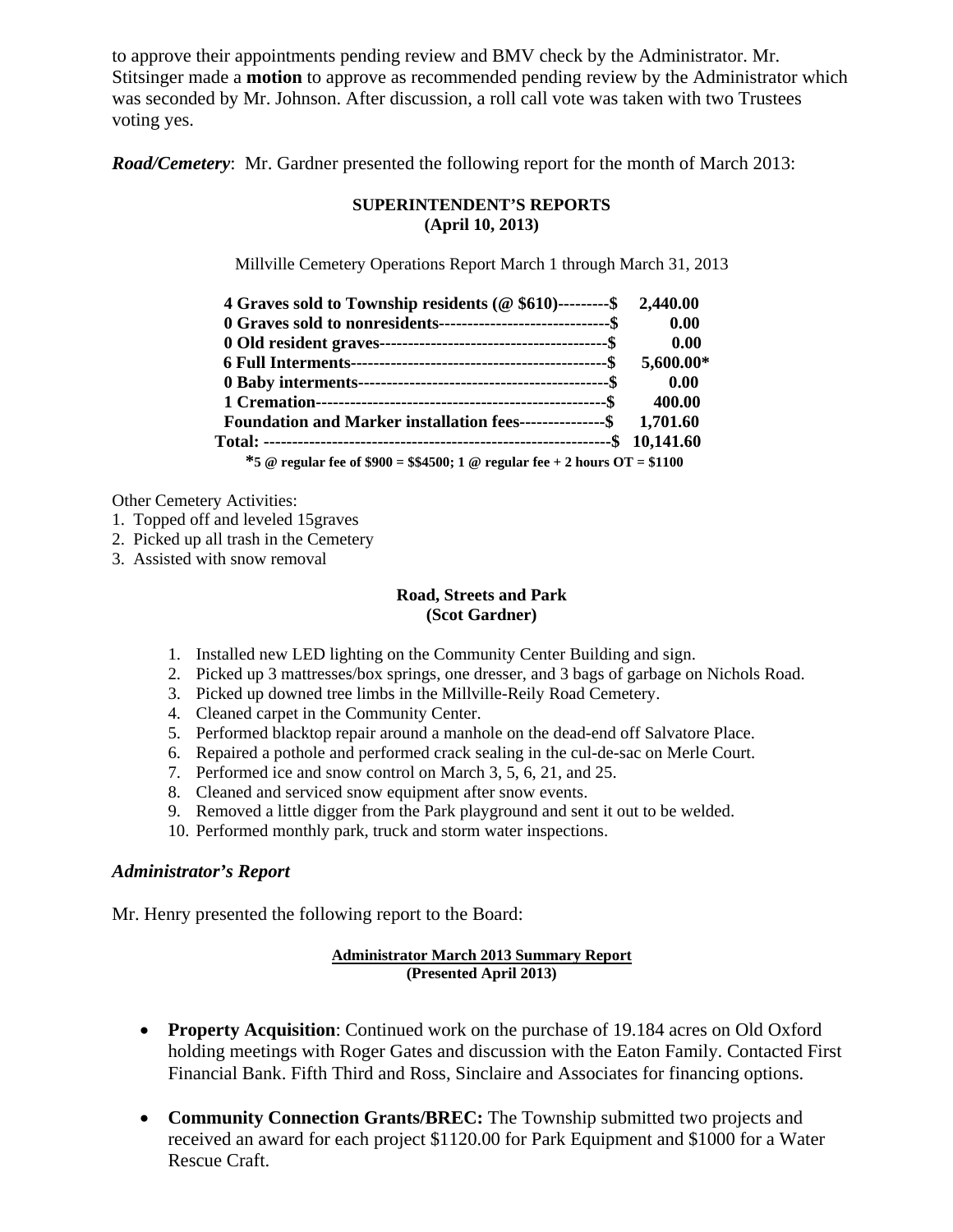to approve their appointments pending review and BMV check by the Administrator. Mr. Stitsinger made a **motion** to approve as recommended pending review by the Administrator which was seconded by Mr. Johnson. After discussion, a roll call vote was taken with two Trustees voting yes.

*Road/Cemetery*: Mr. Gardner presented the following report for the month of March 2013:

#### **SUPERINTENDENT'S REPORTS (April 10, 2013)**

Millville Cemetery Operations Report March 1 through March 31, 2013

| 4 Graves sold to Township residents (@\\$610)---------\$ 2,440.00           |           |
|-----------------------------------------------------------------------------|-----------|
| 0 Graves sold to nonresidents----------------------------------\$           | 0.00      |
|                                                                             | 0.00      |
|                                                                             | 5,600.00* |
|                                                                             | 0.00      |
|                                                                             | 400.00    |
| Foundation and Marker installation fees---------------\$ 1,701.60           |           |
|                                                                             |           |
| *5 @ regular fee of \$900 = \$\$4500; 1 @ regular fee + 2 hours OT = \$1100 |           |

Other Cemetery Activities:

- 1. Topped off and leveled 15graves
- 2. Picked up all trash in the Cemetery
- 3. Assisted with snow removal

#### **Road, Streets and Park (Scot Gardner)**

- 1. Installed new LED lighting on the Community Center Building and sign.
- 2. Picked up 3 mattresses/box springs, one dresser, and 3 bags of garbage on Nichols Road.
- 3. Picked up downed tree limbs in the Millville-Reily Road Cemetery.
- 4. Cleaned carpet in the Community Center.
- 5. Performed blacktop repair around a manhole on the dead-end off Salvatore Place.
- 6. Repaired a pothole and performed crack sealing in the cul-de-sac on Merle Court.
- 7. Performed ice and snow control on March 3, 5, 6, 21, and 25.
- 8. Cleaned and serviced snow equipment after snow events.
- 9. Removed a little digger from the Park playground and sent it out to be welded.
- 10. Performed monthly park, truck and storm water inspections.

#### *Administrator's Report*

Mr. Henry presented the following report to the Board:

#### **Administrator March 2013 Summary Report (Presented April 2013)**

- **Property Acquisition**: Continued work on the purchase of 19.184 acres on Old Oxford holding meetings with Roger Gates and discussion with the Eaton Family. Contacted First Financial Bank. Fifth Third and Ross, Sinclaire and Associates for financing options.
- **Community Connection Grants/BREC:** The Township submitted two projects and received an award for each project \$1120.00 for Park Equipment and \$1000 for a Water Rescue Craft.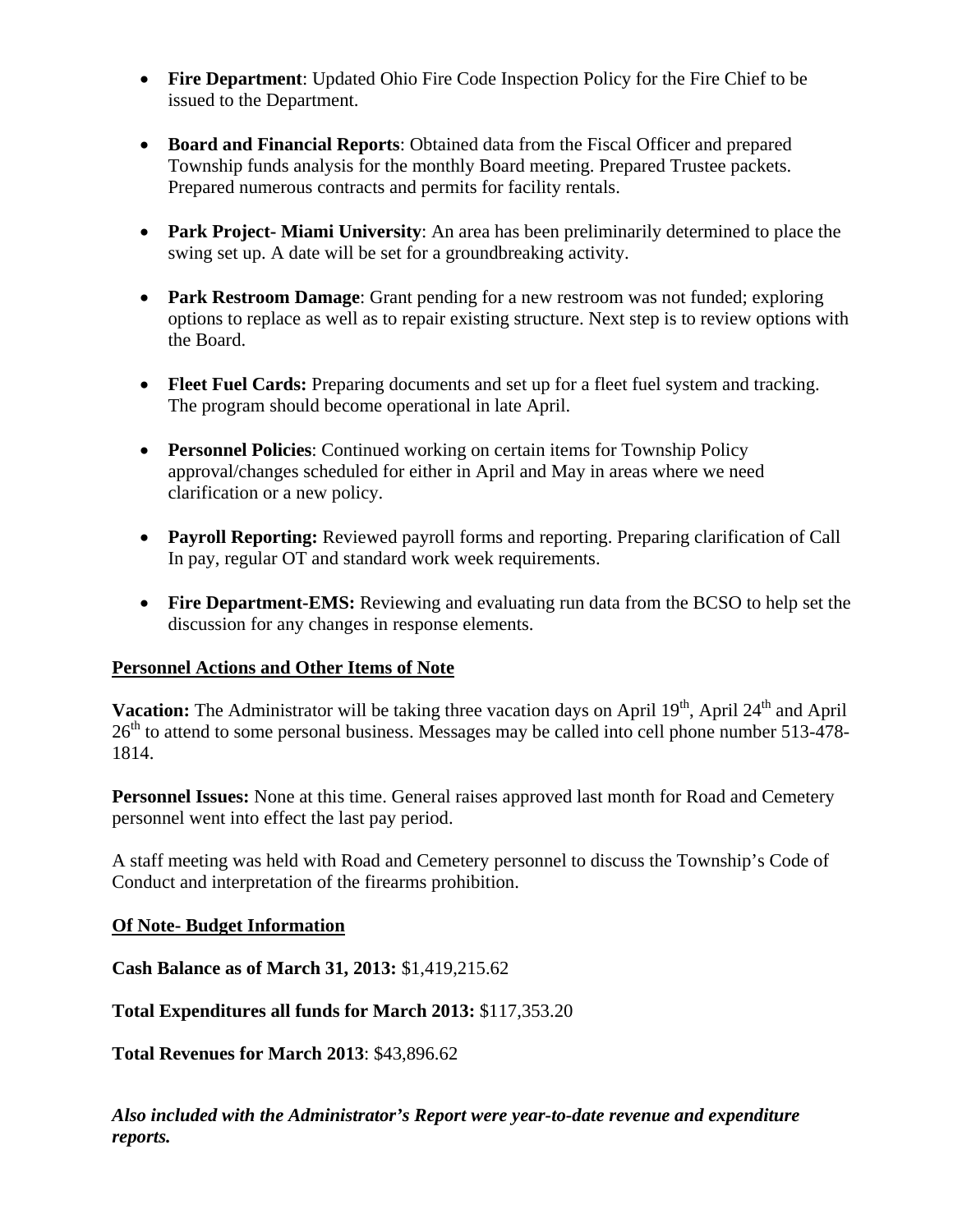- **Fire Department**: Updated Ohio Fire Code Inspection Policy for the Fire Chief to be issued to the Department.
- **Board and Financial Reports**: Obtained data from the Fiscal Officer and prepared Township funds analysis for the monthly Board meeting. Prepared Trustee packets. Prepared numerous contracts and permits for facility rentals.
- **Park Project- Miami University**: An area has been preliminarily determined to place the swing set up. A date will be set for a groundbreaking activity.
- **Park Restroom Damage**: Grant pending for a new restroom was not funded; exploring options to replace as well as to repair existing structure. Next step is to review options with the Board.
- **Fleet Fuel Cards:** Preparing documents and set up for a fleet fuel system and tracking. The program should become operational in late April.
- **Personnel Policies**: Continued working on certain items for Township Policy approval/changes scheduled for either in April and May in areas where we need clarification or a new policy.
- **Payroll Reporting:** Reviewed payroll forms and reporting. Preparing clarification of Call In pay, regular OT and standard work week requirements.
- **Fire Department-EMS:** Reviewing and evaluating run data from the BCSO to help set the discussion for any changes in response elements.

# **Personnel Actions and Other Items of Note**

**Vacation:** The Administrator will be taking three vacation days on April 19<sup>th</sup>, April 24<sup>th</sup> and April  $26<sup>th</sup>$  to attend to some personal business. Messages may be called into cell phone number 513-478-1814.

**Personnel Issues:** None at this time. General raises approved last month for Road and Cemetery personnel went into effect the last pay period.

A staff meeting was held with Road and Cemetery personnel to discuss the Township's Code of Conduct and interpretation of the firearms prohibition.

# **Of Note- Budget Information**

**Cash Balance as of March 31, 2013:** \$1,419,215.62

**Total Expenditures all funds for March 2013:** \$117,353.20

**Total Revenues for March 2013**: \$43,896.62

*Also included with the Administrator's Report were year-to-date revenue and expenditure reports.*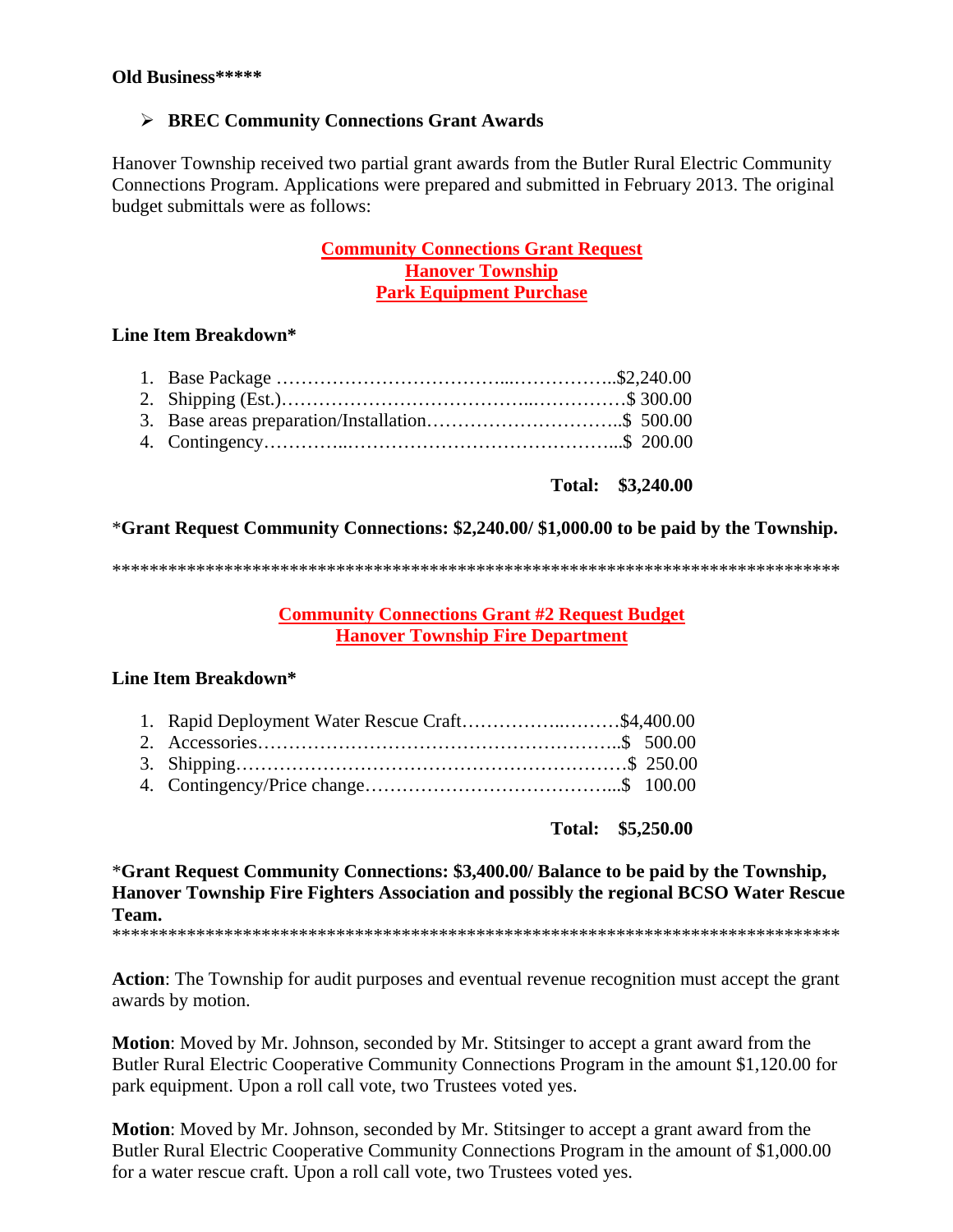# **BREC Community Connections Grant Awards**

Hanover Township received two partial grant awards from the Butler Rural Electric Community Connections Program. Applications were prepared and submitted in February 2013. The original budget submittals were as follows:

# **Community Connections Grant Request Hanover Township Park Equipment Purchase**

# **Line Item Breakdown\***

**Total: \$3,240.00** 

# \***Grant Request Community Connections: \$2,240.00/ \$1,000.00 to be paid by the Township.**

\*\*\*\*\*\*\*\*\*\*\*\*\*\*\*\*\*\*\*\*\*\*\*\*\*\*\*\*\*\*\*\*\*\*\*\*\*\*\*\*\*\*\*\*\*\*\*\*\*\*\*\*\*\*\*\*\*\*\*\*\*\*\*\*\*\*\*\*\*\*\*\*\*\*\*\*\*\*

**Community Connections Grant #2 Request Budget Hanover Township Fire Department** 

# **Line Item Breakdown\***

| 1. Rapid Deployment Water Rescue Craft\$4,400.00 |  |
|--------------------------------------------------|--|
|                                                  |  |
|                                                  |  |
|                                                  |  |

**Total: \$5,250.00** 

\***Grant Request Community Connections: \$3,400.00/ Balance to be paid by the Township, Hanover Township Fire Fighters Association and possibly the regional BCSO Water Rescue Team.** 

\*\*\*\*\*\*\*\*\*\*\*\*\*\*\*\*\*\*\*\*\*\*\*\*\*\*\*\*\*\*\*\*\*\*\*\*\*\*\*\*\*\*\*\*\*\*\*\*\*\*\*\*\*\*\*\*\*\*\*\*\*\*\*\*\*\*\*\*\*\*\*\*\*\*\*\*\*\*

**Action**: The Township for audit purposes and eventual revenue recognition must accept the grant awards by motion.

**Motion**: Moved by Mr. Johnson, seconded by Mr. Stitsinger to accept a grant award from the Butler Rural Electric Cooperative Community Connections Program in the amount \$1,120.00 for park equipment. Upon a roll call vote, two Trustees voted yes.

**Motion**: Moved by Mr. Johnson, seconded by Mr. Stitsinger to accept a grant award from the Butler Rural Electric Cooperative Community Connections Program in the amount of \$1,000.00 for a water rescue craft. Upon a roll call vote, two Trustees voted yes.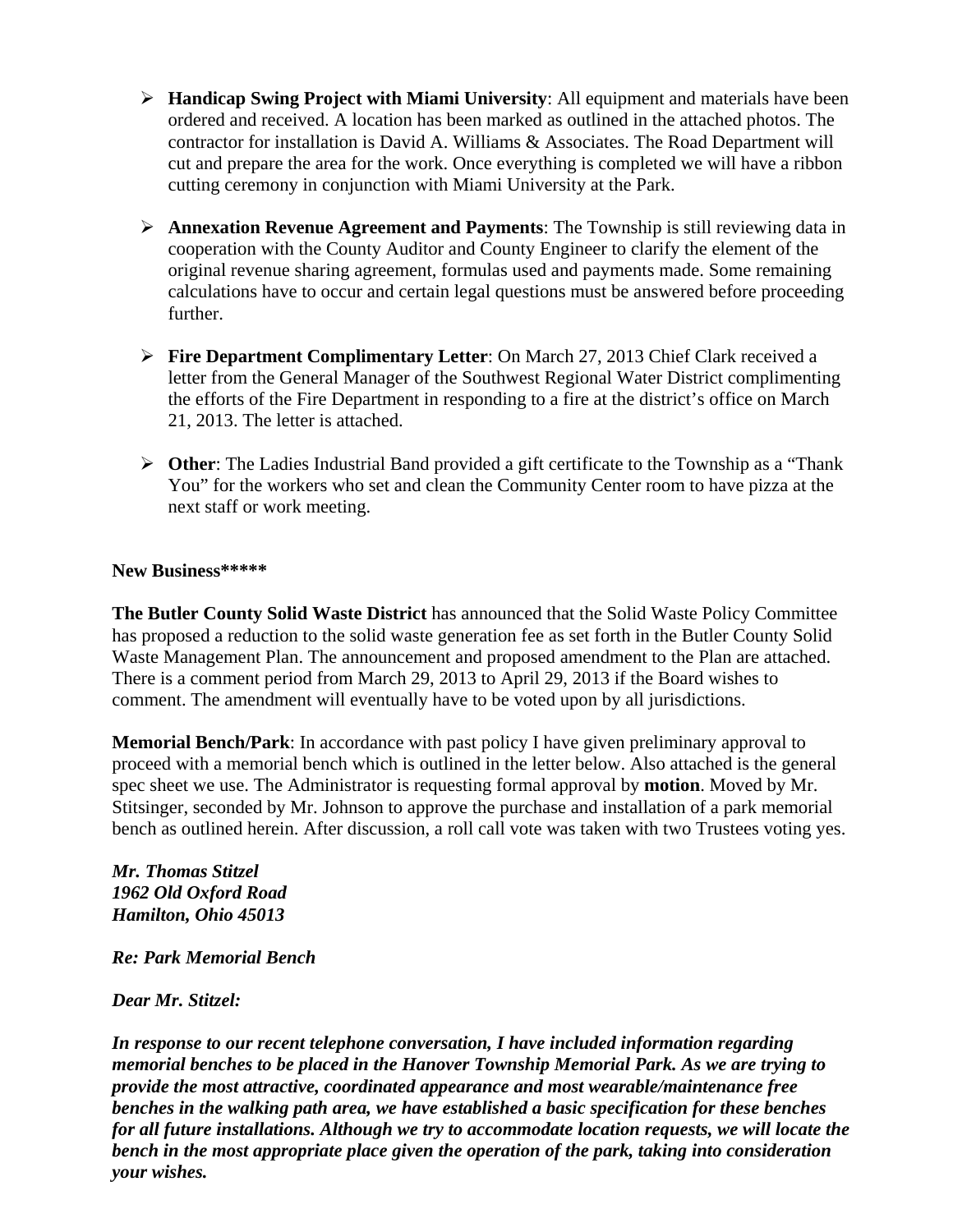- **Handicap Swing Project with Miami University**: All equipment and materials have been ordered and received. A location has been marked as outlined in the attached photos. The contractor for installation is David A. Williams & Associates. The Road Department will cut and prepare the area for the work. Once everything is completed we will have a ribbon cutting ceremony in conjunction with Miami University at the Park.
- **Annexation Revenue Agreement and Payments**: The Township is still reviewing data in cooperation with the County Auditor and County Engineer to clarify the element of the original revenue sharing agreement, formulas used and payments made. Some remaining calculations have to occur and certain legal questions must be answered before proceeding further.
- **Fire Department Complimentary Letter**: On March 27, 2013 Chief Clark received a letter from the General Manager of the Southwest Regional Water District complimenting the efforts of the Fire Department in responding to a fire at the district's office on March 21, 2013. The letter is attached.
- **Other**: The Ladies Industrial Band provided a gift certificate to the Township as a "Thank You" for the workers who set and clean the Community Center room to have pizza at the next staff or work meeting.

#### **New Business\*\*\*\*\***

**The Butler County Solid Waste District** has announced that the Solid Waste Policy Committee has proposed a reduction to the solid waste generation fee as set forth in the Butler County Solid Waste Management Plan. The announcement and proposed amendment to the Plan are attached. There is a comment period from March 29, 2013 to April 29, 2013 if the Board wishes to comment. The amendment will eventually have to be voted upon by all jurisdictions.

**Memorial Bench/Park**: In accordance with past policy I have given preliminary approval to proceed with a memorial bench which is outlined in the letter below. Also attached is the general spec sheet we use. The Administrator is requesting formal approval by **motion**. Moved by Mr. Stitsinger, seconded by Mr. Johnson to approve the purchase and installation of a park memorial bench as outlined herein. After discussion, a roll call vote was taken with two Trustees voting yes.

*Mr. Thomas Stitzel 1962 Old Oxford Road Hamilton, Ohio 45013* 

*Re: Park Memorial Bench* 

*Dear Mr. Stitzel:* 

*In response to our recent telephone conversation, I have included information regarding memorial benches to be placed in the Hanover Township Memorial Park. As we are trying to provide the most attractive, coordinated appearance and most wearable/maintenance free benches in the walking path area, we have established a basic specification for these benches for all future installations. Although we try to accommodate location requests, we will locate the bench in the most appropriate place given the operation of the park, taking into consideration your wishes.*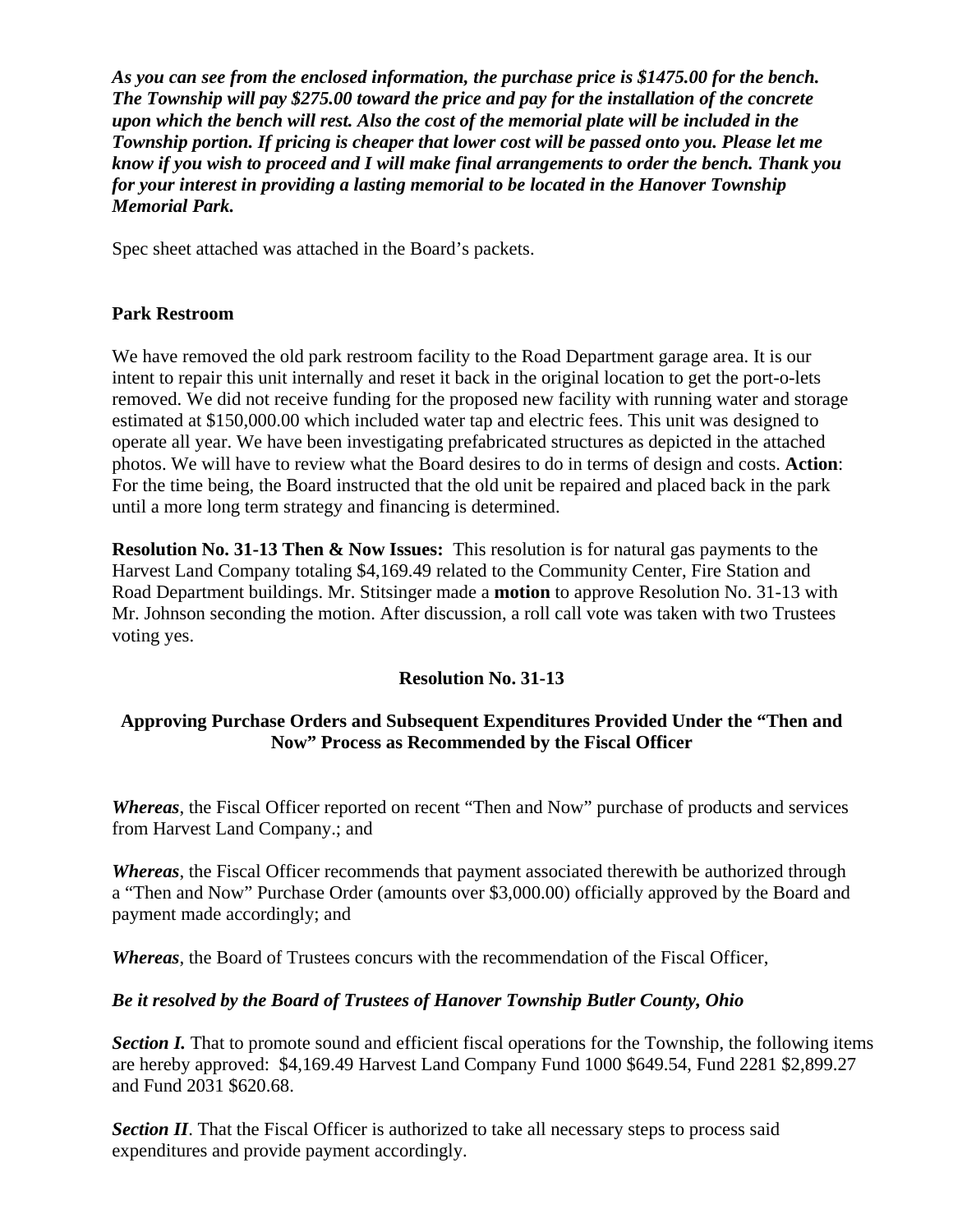*As you can see from the enclosed information, the purchase price is \$1475.00 for the bench. The Township will pay \$275.00 toward the price and pay for the installation of the concrete upon which the bench will rest. Also the cost of the memorial plate will be included in the Township portion. If pricing is cheaper that lower cost will be passed onto you. Please let me know if you wish to proceed and I will make final arrangements to order the bench. Thank you for your interest in providing a lasting memorial to be located in the Hanover Township Memorial Park.* 

Spec sheet attached was attached in the Board's packets.

# **Park Restroom**

We have removed the old park restroom facility to the Road Department garage area. It is our intent to repair this unit internally and reset it back in the original location to get the port-o-lets removed. We did not receive funding for the proposed new facility with running water and storage estimated at \$150,000.00 which included water tap and electric fees. This unit was designed to operate all year. We have been investigating prefabricated structures as depicted in the attached photos. We will have to review what the Board desires to do in terms of design and costs. **Action**: For the time being, the Board instructed that the old unit be repaired and placed back in the park until a more long term strategy and financing is determined.

**Resolution No. 31-13 Then & Now Issues:** This resolution is for natural gas payments to the Harvest Land Company totaling \$4,169.49 related to the Community Center, Fire Station and Road Department buildings. Mr. Stitsinger made a **motion** to approve Resolution No. 31-13 with Mr. Johnson seconding the motion. After discussion, a roll call vote was taken with two Trustees voting yes.

# **Resolution No. 31-13**

# **Approving Purchase Orders and Subsequent Expenditures Provided Under the "Then and Now" Process as Recommended by the Fiscal Officer**

*Whereas*, the Fiscal Officer reported on recent "Then and Now" purchase of products and services from Harvest Land Company.; and

*Whereas*, the Fiscal Officer recommends that payment associated therewith be authorized through a "Then and Now" Purchase Order (amounts over \$3,000.00) officially approved by the Board and payment made accordingly; and

*Whereas*, the Board of Trustees concurs with the recommendation of the Fiscal Officer,

# *Be it resolved by the Board of Trustees of Hanover Township Butler County, Ohio*

*Section I.* That to promote sound and efficient fiscal operations for the Township, the following items are hereby approved: \$4,169.49 Harvest Land Company Fund 1000 \$649.54, Fund 2281 \$2,899.27 and Fund 2031 \$620.68.

*Section II*. That the Fiscal Officer is authorized to take all necessary steps to process said expenditures and provide payment accordingly.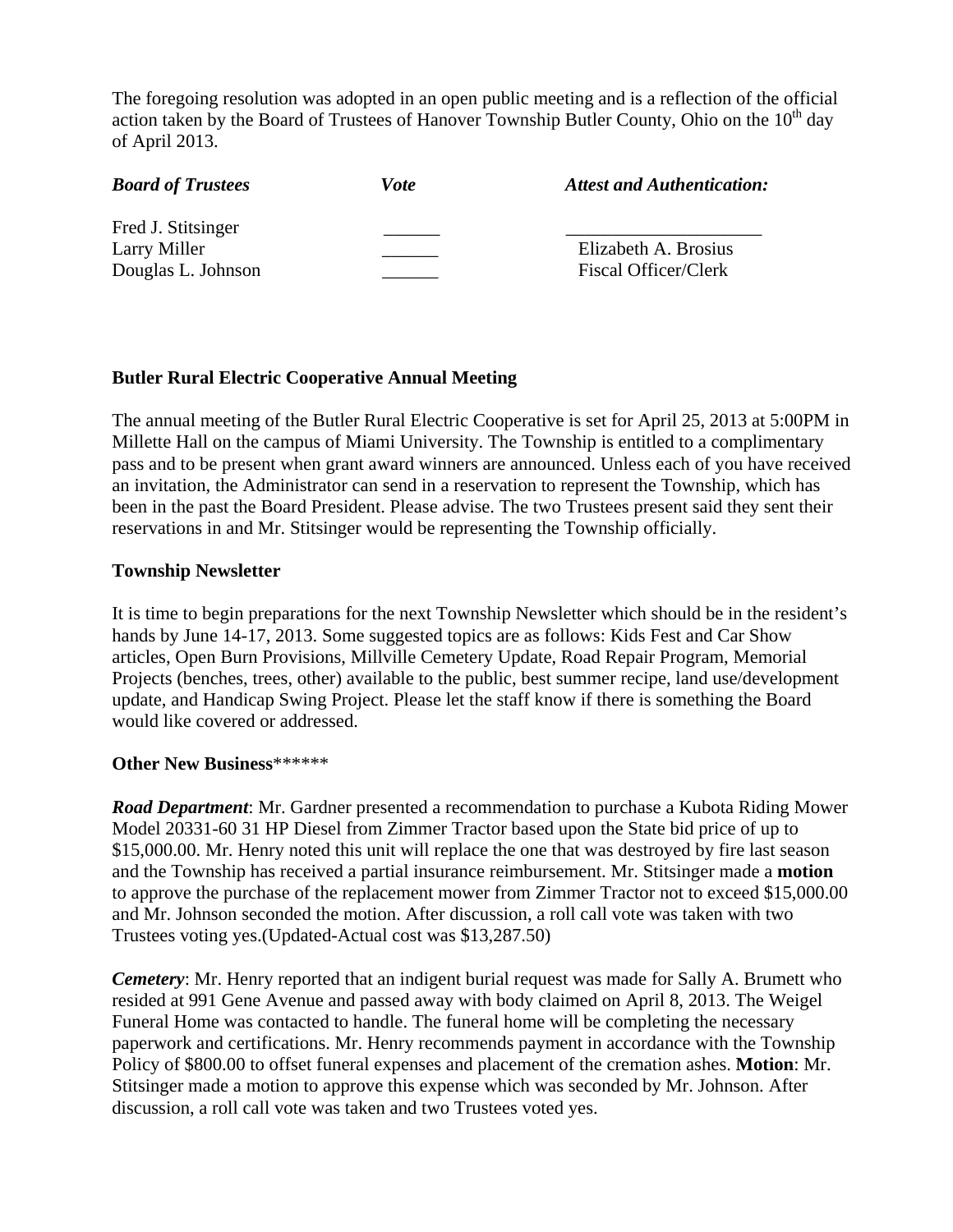The foregoing resolution was adopted in an open public meeting and is a reflection of the official action taken by the Board of Trustees of Hanover Township Butler County, Ohio on the  $10<sup>th</sup>$  day of April 2013.

| <b>Board of Trustees</b>                                 | Vote | <b>Attest and Authentication:</b>                   |
|----------------------------------------------------------|------|-----------------------------------------------------|
| Fred J. Stitsinger<br>Larry Miller<br>Douglas L. Johnson |      | Elizabeth A. Brosius<br><b>Fiscal Officer/Clerk</b> |

#### **Butler Rural Electric Cooperative Annual Meeting**

The annual meeting of the Butler Rural Electric Cooperative is set for April 25, 2013 at 5:00PM in Millette Hall on the campus of Miami University. The Township is entitled to a complimentary pass and to be present when grant award winners are announced. Unless each of you have received an invitation, the Administrator can send in a reservation to represent the Township, which has been in the past the Board President. Please advise. The two Trustees present said they sent their reservations in and Mr. Stitsinger would be representing the Township officially.

#### **Township Newsletter**

It is time to begin preparations for the next Township Newsletter which should be in the resident's hands by June 14-17, 2013. Some suggested topics are as follows: Kids Fest and Car Show articles, Open Burn Provisions, Millville Cemetery Update, Road Repair Program, Memorial Projects (benches, trees, other) available to the public, best summer recipe, land use/development update, and Handicap Swing Project. Please let the staff know if there is something the Board would like covered or addressed.

#### **Other New Business**\*\*\*\*\*\*

*Road Department*: Mr. Gardner presented a recommendation to purchase a Kubota Riding Mower Model 20331-60 31 HP Diesel from Zimmer Tractor based upon the State bid price of up to \$15,000.00. Mr. Henry noted this unit will replace the one that was destroyed by fire last season and the Township has received a partial insurance reimbursement. Mr. Stitsinger made a **motion** to approve the purchase of the replacement mower from Zimmer Tractor not to exceed \$15,000.00 and Mr. Johnson seconded the motion. After discussion, a roll call vote was taken with two Trustees voting yes.(Updated-Actual cost was \$13,287.50)

*Cemetery*: Mr. Henry reported that an indigent burial request was made for Sally A. Brumett who resided at 991 Gene Avenue and passed away with body claimed on April 8, 2013. The Weigel Funeral Home was contacted to handle. The funeral home will be completing the necessary paperwork and certifications. Mr. Henry recommends payment in accordance with the Township Policy of \$800.00 to offset funeral expenses and placement of the cremation ashes. **Motion**: Mr. Stitsinger made a motion to approve this expense which was seconded by Mr. Johnson. After discussion, a roll call vote was taken and two Trustees voted yes.